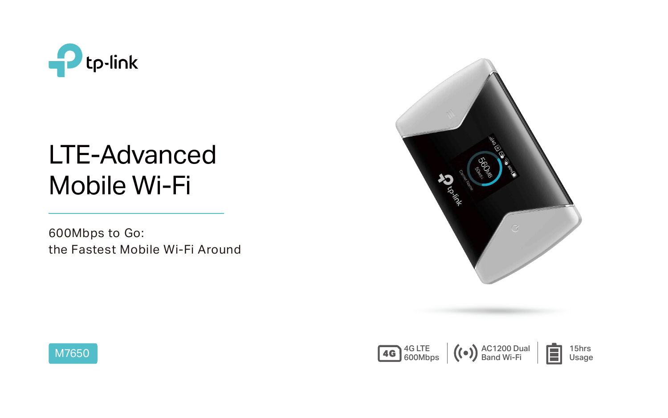

# LTE-Advanced Mobile Wi-Fi



600Mbps to Go: the Fastest Mobile Wi-Fi Around





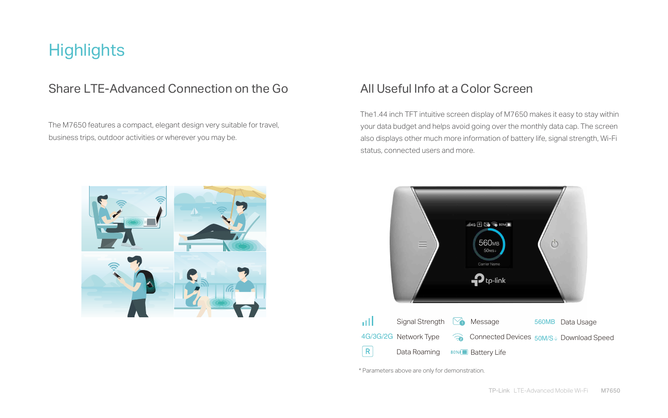The M7650 features a compact, elegant design very suitable for travel, business trips, outdoor activities or wherever you may be.

## **Highlights**

### Share LTE-Advanced Connection on the Go

 The1.44 inch TFT intuitive screen display of M7650 makes it easy to stay within your data budget and helps avoid going over the monthly data cap. The screen also displays other much more information of battery life, signal strength, Wi-Fi status, connected users and more.



## All Useful Info at a Color Screen



ыll  $|R|$ 

\* Parameters above are only for demonstration.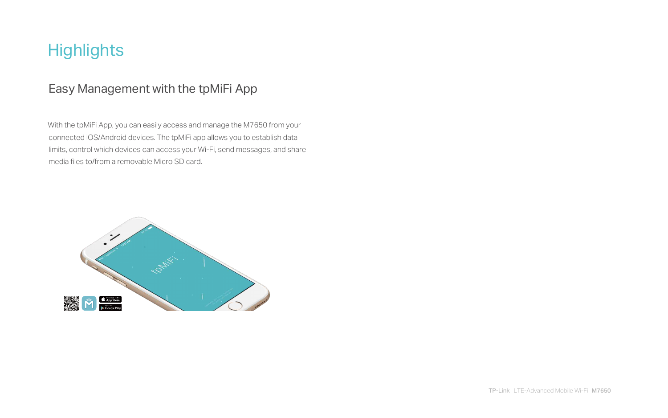TP-Link LTE-Advanced Mobile Wi-Fi M7650

 With the tpMiFi App, you can easily access and manage the M7650 from your connected iOS/Android devices. The tpMiFi app allows you to establish data limits, control which devices can access your Wi-Fi, send messages, and share media files to/from a removable Micro SD card.



## **Highlights**

## Easy Management with the tpMiFi App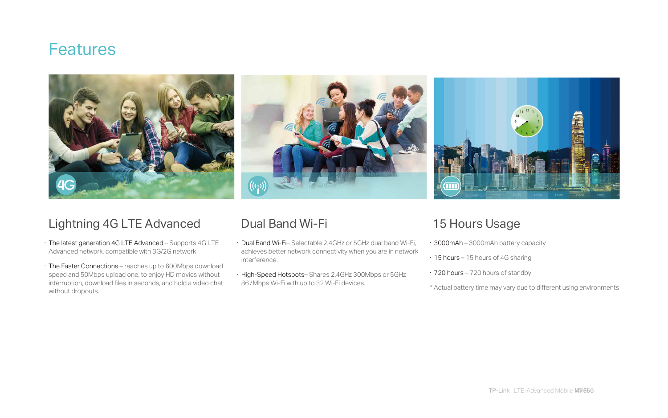## **Features**





### Lightning 4G LTE Advanced Dual Band Wi-Fi 15 Hours Usage

- · The latest generation 4G LTE Advanced Supports 4G LTE Advanced network, compatible with 3G/2G network
- · The Faster Connections reaches up to 600Mbps download speed and 50Mbps upload one, to enjoy HD movies without interruption, download files in seconds, and hold a video chat without dropouts.

- · Dual Band Wi-Fi– Selectable 2.4GHz or 5GHz dual band Wi-Fi, achieves better network connectivity when you are in network interference.
- · High-Speed Hotspots– Shares 2.4GHz 300Mbps or 5GHz 867Mbps Wi-Fi with up to 32 Wi-Fi devices.

- · 3000mAh 3000mAh battery capacity
- · 15 hours 15 hours of 4G sharing
- · 720 hours 720 hours of standby
- \* Actual battery time may vary due to different using environments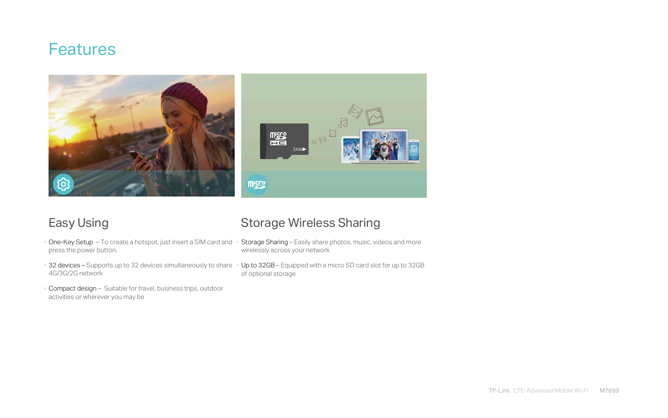## **Features**



- · One-Key Setup To create a hotspot, just insert a SIM card and press the power button.
- $\cdot$  32 devices Supports up to 32 devices simultaneously to share  $\;\cdot\;$  Up to 32GB Equipped with a micro SD card slot for up to 32GB 4G/3G/2G network
- · Compact design Suitable for travel, business trips, outdoor activities or wherever you may be

### Easy Using **Storage Wireless Sharing**

- · Storage Sharing Easily share photos, music, videos and more wirelessly across your network
- of optional storage

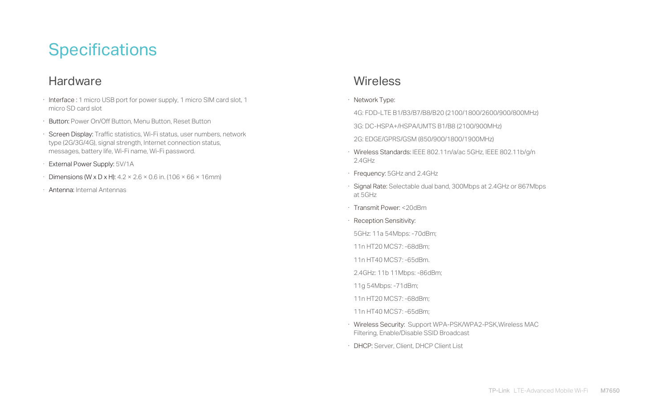## **Specifications**

### **Hardware**

- · Interface : 1 micro USB port for power supply, 1 micro SIM card slot, 1 micro SD card slot
- · Button: Power On/Off Button, Menu Button, Reset Button
- · Screen Display: Traffic statistics, Wi-Fi status, user numbers, network type (2G/3G/4G), signal strength, Internet connection status, messages, battery life, Wi-Fi name, Wi-Fi password.

- Dimensions (W x D x H):  $4.2 \times 2.6 \times 0.6$  in. (106  $\times$  66  $\times$  16mm)
- · Antenna: Internal Antennas

### **Wireless**

· External Power Supply: 5V/1A

### 4G: FDD-LTE B1/B3/B7/B8/B20 (2100/1800/2600/900/800MHz)

· Wireless Standards: IEEE 802.11n/a/ac 5GHz, IEEE 802.11b/g/n

· Signal Rate: Selectable dual band, 300Mbps at 2.4GHz or 867Mbps

- 
- 
- 
- 
- 
- 
- 
- · Network Type:
- 
- 3G: DC-HSPA+/HSPA/UMTS B1/B8 (2100/900MHz)
- 2G: EDGE/GPRS/GSM (850/900/1800/1900MHz)
- 2.4GHz
- · Frequency: 5GHz and 2.4GHz
- at 5GHz
- · Transmit Power: <20dBm
- · Reception Sensitivity:
- 5GHz: 11a 54Mbps: -70dBm;
- 11n HT20 MCS7: -68dBm;
- 11n HT40 MCS7: -65dBm.
- 2.4GHz: 11b 11Mbps: -86dBm;
- 11g 54Mbps: -71dBm;
- 11n HT20 MCS7: -68dBm;
- 11n HT40 MCS7: -65dBm;
- · Wireless Security: Support WPA-PSK/WPA2-PSK,Wireless MAC Filtering, Enable/Disable SSID Broadcast
- · DHCP: Server, Client, DHCP Client List